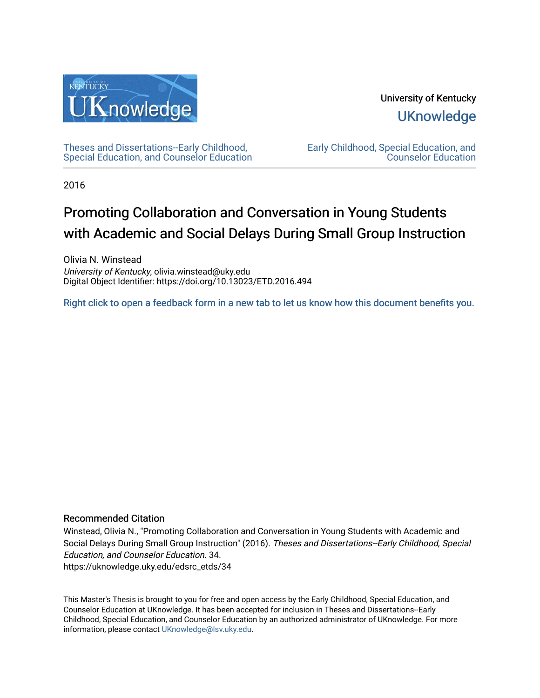

University of Kentucky **UKnowledge** 

[Theses and Dissertations--Early Childhood,](https://uknowledge.uky.edu/edsrc_etds)  [Special Education, and Counselor Education](https://uknowledge.uky.edu/edsrc_etds) [Early Childhood, Special Education, and](https://uknowledge.uky.edu/edsrc)  [Counselor Education](https://uknowledge.uky.edu/edsrc) 

2016

# Promoting Collaboration and Conversation in Young Students with Academic and Social Delays During Small Group Instruction

Olivia N. Winstead University of Kentucky, olivia.winstead@uky.edu Digital Object Identifier: https://doi.org/10.13023/ETD.2016.494

[Right click to open a feedback form in a new tab to let us know how this document benefits you.](https://uky.az1.qualtrics.com/jfe/form/SV_9mq8fx2GnONRfz7)

### Recommended Citation

Winstead, Olivia N., "Promoting Collaboration and Conversation in Young Students with Academic and Social Delays During Small Group Instruction" (2016). Theses and Dissertations--Early Childhood, Special Education, and Counselor Education. 34. https://uknowledge.uky.edu/edsrc\_etds/34

This Master's Thesis is brought to you for free and open access by the Early Childhood, Special Education, and Counselor Education at UKnowledge. It has been accepted for inclusion in Theses and Dissertations--Early Childhood, Special Education, and Counselor Education by an authorized administrator of UKnowledge. For more information, please contact [UKnowledge@lsv.uky.edu](mailto:UKnowledge@lsv.uky.edu).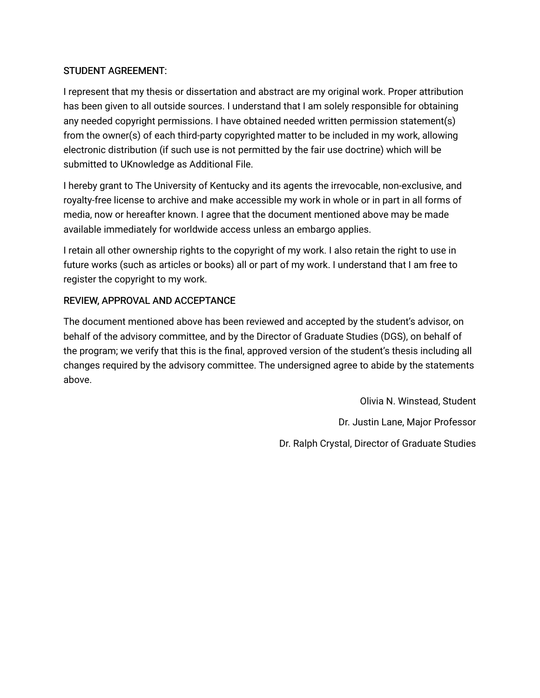## STUDENT AGREEMENT:

I represent that my thesis or dissertation and abstract are my original work. Proper attribution has been given to all outside sources. I understand that I am solely responsible for obtaining any needed copyright permissions. I have obtained needed written permission statement(s) from the owner(s) of each third-party copyrighted matter to be included in my work, allowing electronic distribution (if such use is not permitted by the fair use doctrine) which will be submitted to UKnowledge as Additional File.

I hereby grant to The University of Kentucky and its agents the irrevocable, non-exclusive, and royalty-free license to archive and make accessible my work in whole or in part in all forms of media, now or hereafter known. I agree that the document mentioned above may be made available immediately for worldwide access unless an embargo applies.

I retain all other ownership rights to the copyright of my work. I also retain the right to use in future works (such as articles or books) all or part of my work. I understand that I am free to register the copyright to my work.

## REVIEW, APPROVAL AND ACCEPTANCE

The document mentioned above has been reviewed and accepted by the student's advisor, on behalf of the advisory committee, and by the Director of Graduate Studies (DGS), on behalf of the program; we verify that this is the final, approved version of the student's thesis including all changes required by the advisory committee. The undersigned agree to abide by the statements above.

> Olivia N. Winstead, Student Dr. Justin Lane, Major Professor Dr. Ralph Crystal, Director of Graduate Studies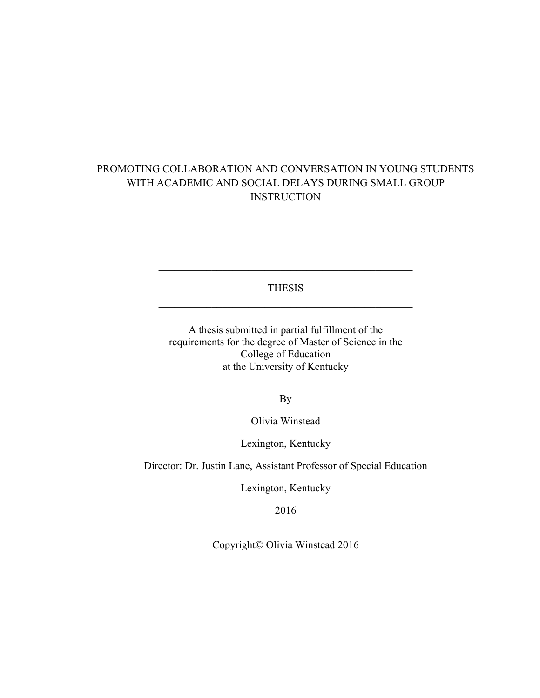## PROMOTING COLLABORATION AND CONVERSATION IN YOUNG STUDENTS WITH ACADEMIC AND SOCIAL DELAYS DURING SMALL GROUP **INSTRUCTION**

THESIS

A thesis submitted in partial fulfillment of the requirements for the degree of Master of Science in the College of Education at the University of Kentucky

By

Olivia Winstead

Lexington, Kentucky

Director: Dr. Justin Lane, Assistant Professor of Special Education

Lexington, Kentucky

2016

Copyright© Olivia Winstead 2016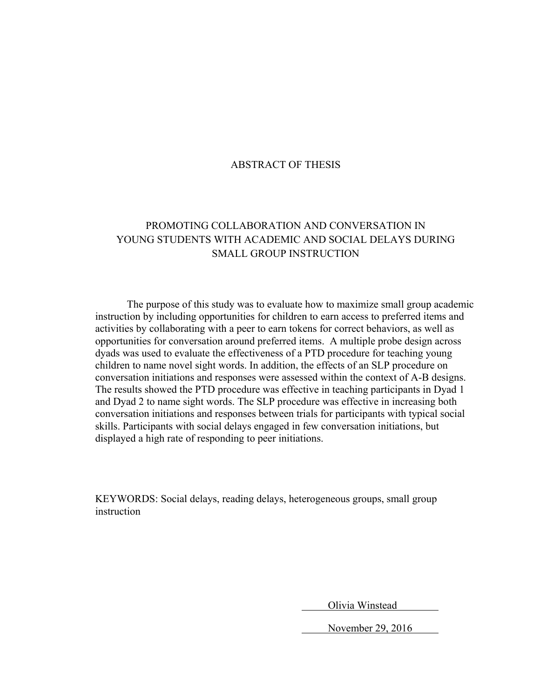### ABSTRACT OF THESIS

## PROMOTING COLLABORATION AND CONVERSATION IN YOUNG STUDENTS WITH ACADEMIC AND SOCIAL DELAYS DURING SMALL GROUP INSTRUCTION

The purpose of this study was to evaluate how to maximize small group academic instruction by including opportunities for children to earn access to preferred items and activities by collaborating with a peer to earn tokens for correct behaviors, as well as opportunities for conversation around preferred items. A multiple probe design across dyads was used to evaluate the effectiveness of a PTD procedure for teaching young children to name novel sight words. In addition, the effects of an SLP procedure on conversation initiations and responses were assessed within the context of A-B designs. The results showed the PTD procedure was effective in teaching participants in Dyad 1 and Dyad 2 to name sight words. The SLP procedure was effective in increasing both conversation initiations and responses between trials for participants with typical social skills. Participants with social delays engaged in few conversation initiations, but displayed a high rate of responding to peer initiations.

KEYWORDS: Social delays, reading delays, heterogeneous groups, small group instruction

Olivia Winstead

November 29, 2016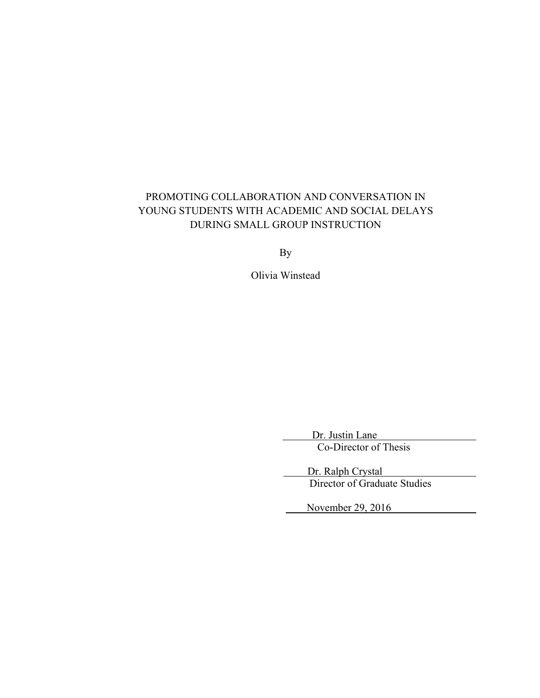# PROMOTING COLLABORATION AND CONVERSATION IN YOUNG STUDENTS WITH ACADEMIC AND SOCIAL DELAYS DURING SMALL GROUP INSTRUCTION

By

Olivia Winstead

 Dr. Justin Lane Co-Director of Thesis

 Dr. Ralph Crystal Director of Graduate Studies

November 29, 2016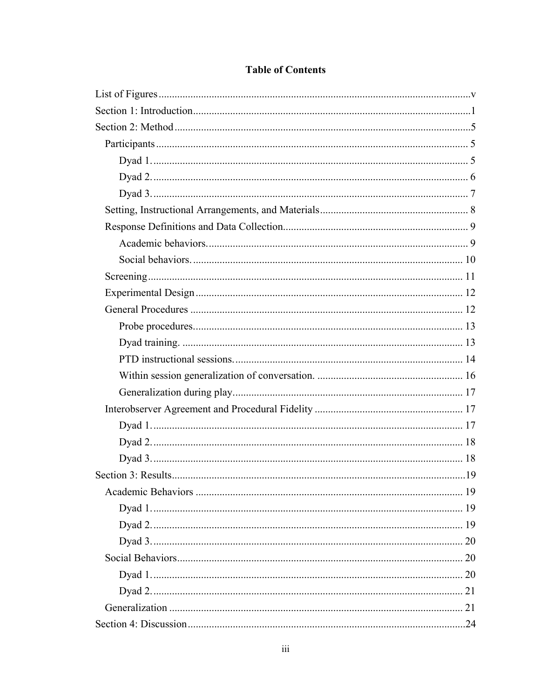## **Table of Contents**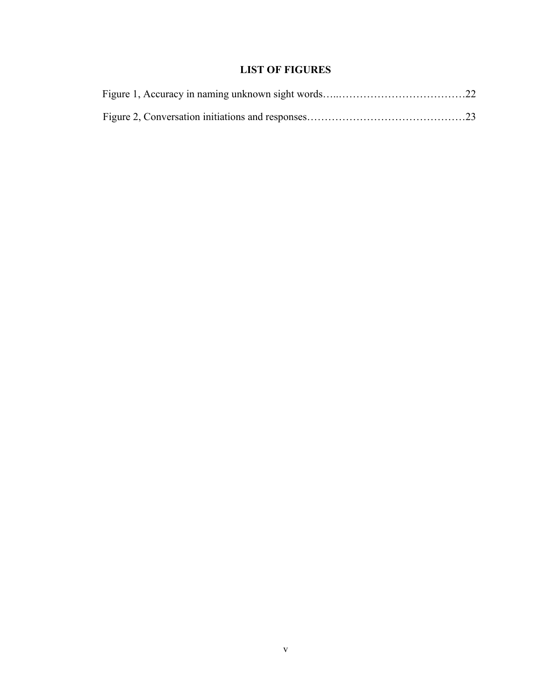## **LIST OF FIGURES**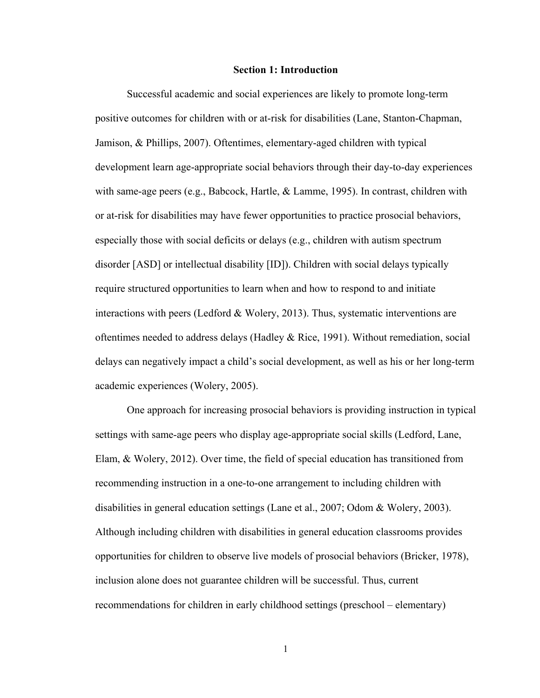#### **Section 1: Introduction**

Successful academic and social experiences are likely to promote long-term positive outcomes for children with or at-risk for disabilities (Lane, Stanton-Chapman, Jamison, & Phillips, 2007). Oftentimes, elementary-aged children with typical development learn age-appropriate social behaviors through their day-to-day experiences with same-age peers (e.g., Babcock, Hartle, & Lamme, 1995). In contrast, children with or at-risk for disabilities may have fewer opportunities to practice prosocial behaviors, especially those with social deficits or delays (e.g., children with autism spectrum disorder [ASD] or intellectual disability [ID]). Children with social delays typically require structured opportunities to learn when and how to respond to and initiate interactions with peers (Ledford & Wolery, 2013). Thus, systematic interventions are oftentimes needed to address delays (Hadley  $\&$  Rice, 1991). Without remediation, social delays can negatively impact a child's social development, as well as his or her long-term academic experiences (Wolery, 2005).

One approach for increasing prosocial behaviors is providing instruction in typical settings with same-age peers who display age-appropriate social skills (Ledford, Lane, Elam, & Wolery, 2012). Over time, the field of special education has transitioned from recommending instruction in a one-to-one arrangement to including children with disabilities in general education settings (Lane et al., 2007; Odom & Wolery, 2003). Although including children with disabilities in general education classrooms provides opportunities for children to observe live models of prosocial behaviors (Bricker, 1978), inclusion alone does not guarantee children will be successful. Thus, current recommendations for children in early childhood settings (preschool – elementary)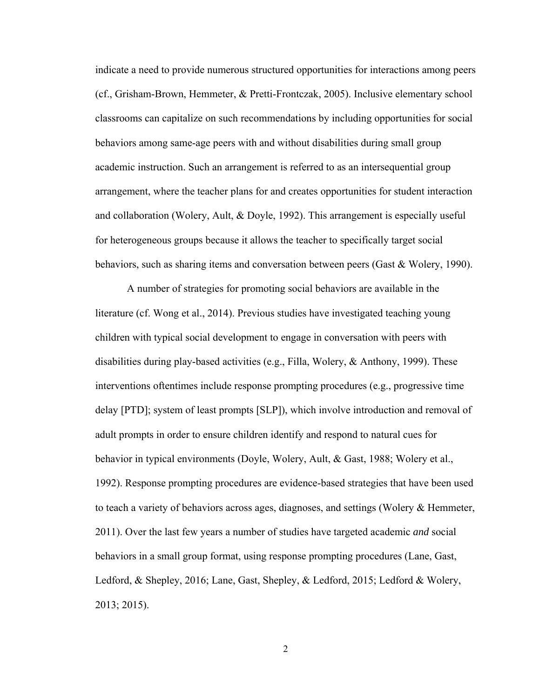indicate a need to provide numerous structured opportunities for interactions among peers (cf., Grisham-Brown, Hemmeter, & Pretti-Frontczak, 2005). Inclusive elementary school classrooms can capitalize on such recommendations by including opportunities for social behaviors among same-age peers with and without disabilities during small group academic instruction. Such an arrangement is referred to as an intersequential group arrangement, where the teacher plans for and creates opportunities for student interaction and collaboration (Wolery, Ault, & Doyle, 1992). This arrangement is especially useful for heterogeneous groups because it allows the teacher to specifically target social behaviors, such as sharing items and conversation between peers (Gast & Wolery, 1990).

A number of strategies for promoting social behaviors are available in the literature (cf. Wong et al., 2014). Previous studies have investigated teaching young children with typical social development to engage in conversation with peers with disabilities during play-based activities (e.g., Filla, Wolery, & Anthony, 1999). These interventions oftentimes include response prompting procedures (e.g., progressive time delay [PTD]; system of least prompts [SLP]), which involve introduction and removal of adult prompts in order to ensure children identify and respond to natural cues for behavior in typical environments (Doyle, Wolery, Ault, & Gast, 1988; Wolery et al., 1992). Response prompting procedures are evidence-based strategies that have been used to teach a variety of behaviors across ages, diagnoses, and settings (Wolery & Hemmeter, 2011). Over the last few years a number of studies have targeted academic *and* social behaviors in a small group format, using response prompting procedures (Lane, Gast, Ledford, & Shepley, 2016; Lane, Gast, Shepley, & Ledford, 2015; Ledford & Wolery, 2013; 2015).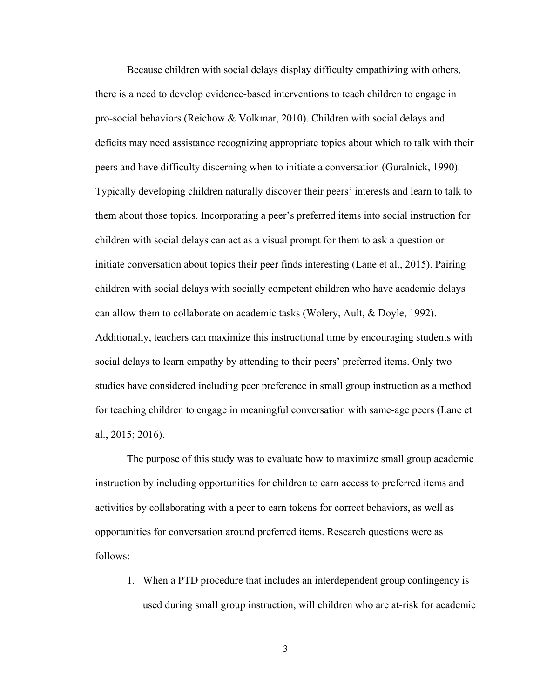Because children with social delays display difficulty empathizing with others, there is a need to develop evidence-based interventions to teach children to engage in pro-social behaviors (Reichow & Volkmar, 2010). Children with social delays and deficits may need assistance recognizing appropriate topics about which to talk with their peers and have difficulty discerning when to initiate a conversation (Guralnick, 1990). Typically developing children naturally discover their peers' interests and learn to talk to them about those topics. Incorporating a peer's preferred items into social instruction for children with social delays can act as a visual prompt for them to ask a question or initiate conversation about topics their peer finds interesting (Lane et al., 2015). Pairing children with social delays with socially competent children who have academic delays can allow them to collaborate on academic tasks (Wolery, Ault, & Doyle, 1992). Additionally, teachers can maximize this instructional time by encouraging students with social delays to learn empathy by attending to their peers' preferred items. Only two studies have considered including peer preference in small group instruction as a method for teaching children to engage in meaningful conversation with same-age peers (Lane et al., 2015; 2016).

The purpose of this study was to evaluate how to maximize small group academic instruction by including opportunities for children to earn access to preferred items and activities by collaborating with a peer to earn tokens for correct behaviors, as well as opportunities for conversation around preferred items. Research questions were as follows:

1. When a PTD procedure that includes an interdependent group contingency is used during small group instruction, will children who are at-risk for academic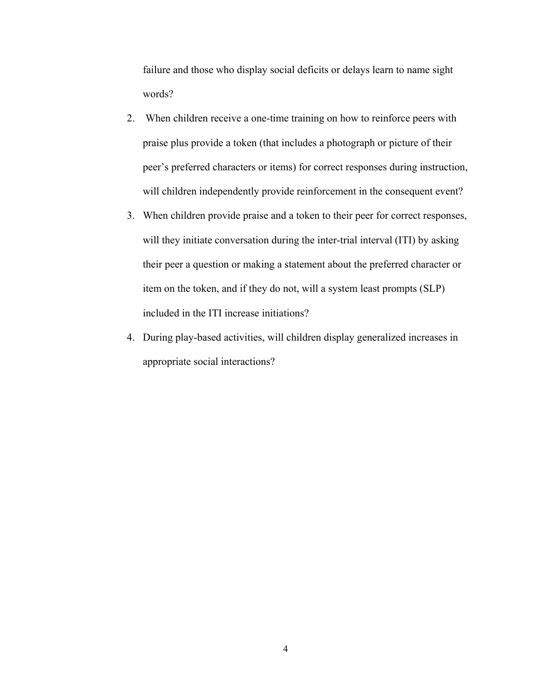failure and those who display social deficits or delays learn to name sight words?

- 2. When children receive a one-time training on how to reinforce peers with praise plus provide a token (that includes a photograph or picture of their peer's preferred characters or items) for correct responses during instruction, will children independently provide reinforcement in the consequent event?
- 3. When children provide praise and a token to their peer for correct responses, will they initiate conversation during the inter-trial interval (ITI) by asking their peer a question or making a statement about the preferred character or item on the token, and if they do not, will a system least prompts (SLP) included in the ITI increase initiations?
- 4. During play-based activities, will children display generalized increases in appropriate social interactions?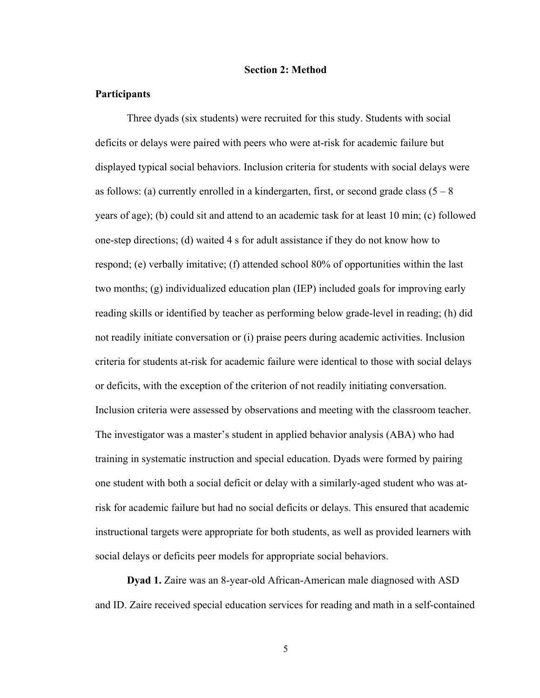#### **Section 2: Method**

#### **Participants**

Three dyads (six students) were recruited for this study. Students with social deficits or delays were paired with peers who were at-risk for academic failure but displayed typical social behaviors. Inclusion criteria for students with social delays were as follows: (a) currently enrolled in a kindergarten, first, or second grade class  $(5 - 8)$ years of age); (b) could sit and attend to an academic task for at least 10 min; (c) followed one-step directions; (d) waited 4 s for adult assistance if they do not know how to respond; (e) verbally imitative; (f) attended school 80% of opportunities within the last two months; (g) individualized education plan (IEP) included goals for improving early reading skills or identified by teacher as performing below grade-level in reading; (h) did not readily initiate conversation or (i) praise peers during academic activities. Inclusion criteria for students at-risk for academic failure were identical to those with social delays or deficits, with the exception of the criterion of not readily initiating conversation. Inclusion criteria were assessed by observations and meeting with the classroom teacher. The investigator was a master's student in applied behavior analysis (ABA) who had training in systematic instruction and special education. Dyads were formed by pairing one student with both a social deficit or delay with a similarly-aged student who was atrisk for academic failure but had no social deficits or delays. This ensured that academic instructional targets were appropriate for both students, as well as provided learners with social delays or deficits peer models for appropriate social behaviors.

**Dyad 1.** Zaire was an 8-year-old African-American male diagnosed with ASD and ID. Zaire received special education services for reading and math in a self-contained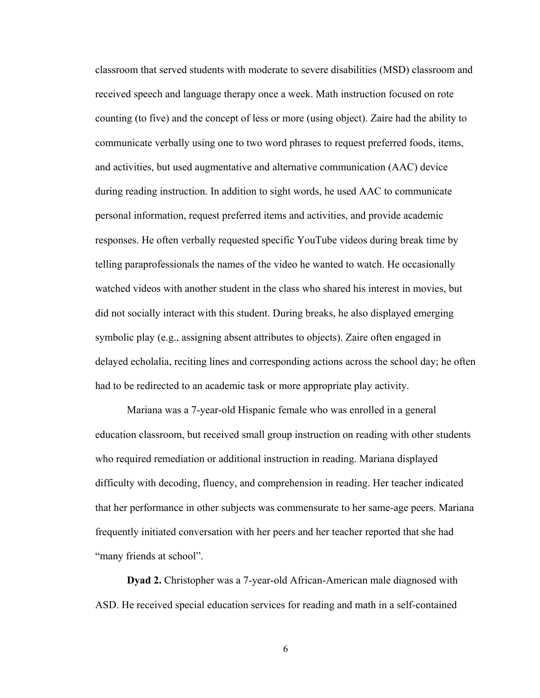classroom that served students with moderate to severe disabilities (MSD) classroom and received speech and language therapy once a week. Math instruction focused on rote counting (to five) and the concept of less or more (using object). Zaire had the ability to communicate verbally using one to two word phrases to request preferred foods, items, and activities, but used augmentative and alternative communication (AAC) device during reading instruction. In addition to sight words, he used AAC to communicate personal information, request preferred items and activities, and provide academic responses. He often verbally requested specific YouTube videos during break time by telling paraprofessionals the names of the video he wanted to watch. He occasionally watched videos with another student in the class who shared his interest in movies, but did not socially interact with this student. During breaks, he also displayed emerging symbolic play (e.g., assigning absent attributes to objects). Zaire often engaged in delayed echolalia, reciting lines and corresponding actions across the school day; he often had to be redirected to an academic task or more appropriate play activity.

Mariana was a 7-year-old Hispanic female who was enrolled in a general education classroom, but received small group instruction on reading with other students who required remediation or additional instruction in reading. Mariana displayed difficulty with decoding, fluency, and comprehension in reading. Her teacher indicated that her performance in other subjects was commensurate to her same-age peers. Mariana frequently initiated conversation with her peers and her teacher reported that she had "many friends at school".

**Dyad 2.** Christopher was a 7-year-old African-American male diagnosed with ASD. He received special education services for reading and math in a self-contained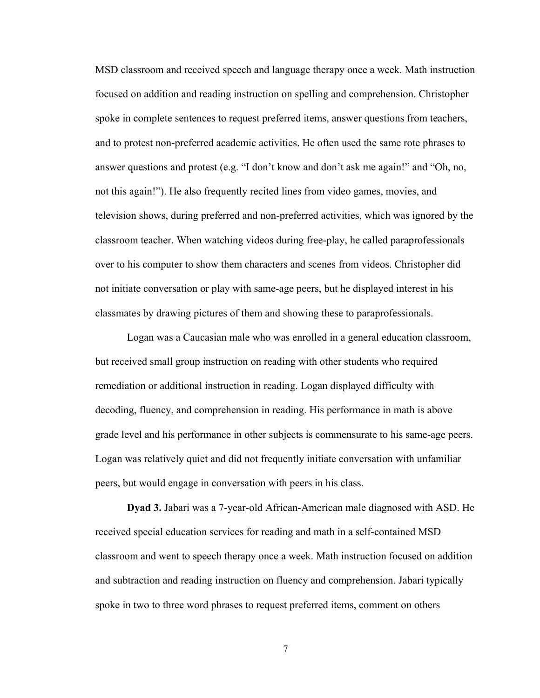MSD classroom and received speech and language therapy once a week. Math instruction focused on addition and reading instruction on spelling and comprehension. Christopher spoke in complete sentences to request preferred items, answer questions from teachers, and to protest non-preferred academic activities. He often used the same rote phrases to answer questions and protest (e.g. "I don't know and don't ask me again!" and "Oh, no, not this again!"). He also frequently recited lines from video games, movies, and television shows, during preferred and non-preferred activities, which was ignored by the classroom teacher. When watching videos during free-play, he called paraprofessionals over to his computer to show them characters and scenes from videos. Christopher did not initiate conversation or play with same-age peers, but he displayed interest in his classmates by drawing pictures of them and showing these to paraprofessionals.

Logan was a Caucasian male who was enrolled in a general education classroom, but received small group instruction on reading with other students who required remediation or additional instruction in reading. Logan displayed difficulty with decoding, fluency, and comprehension in reading. His performance in math is above grade level and his performance in other subjects is commensurate to his same-age peers. Logan was relatively quiet and did not frequently initiate conversation with unfamiliar peers, but would engage in conversation with peers in his class.

**Dyad 3.** Jabari was a 7-year-old African-American male diagnosed with ASD. He received special education services for reading and math in a self-contained MSD classroom and went to speech therapy once a week. Math instruction focused on addition and subtraction and reading instruction on fluency and comprehension. Jabari typically spoke in two to three word phrases to request preferred items, comment on others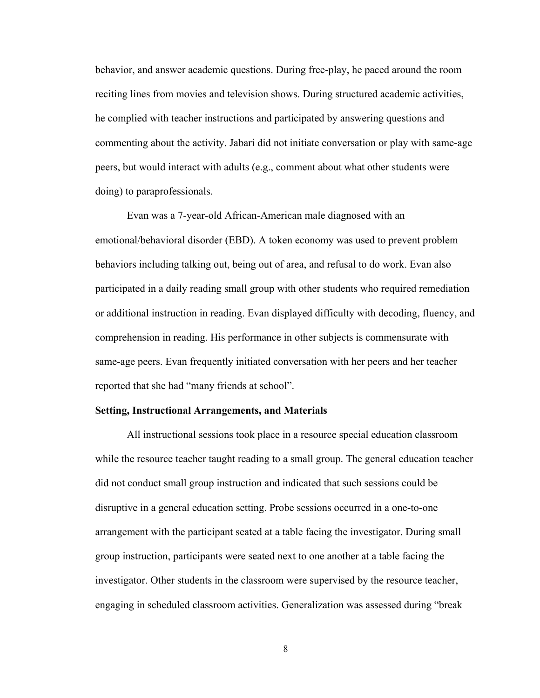behavior, and answer academic questions. During free-play, he paced around the room reciting lines from movies and television shows. During structured academic activities, he complied with teacher instructions and participated by answering questions and commenting about the activity. Jabari did not initiate conversation or play with same-age peers, but would interact with adults (e.g., comment about what other students were doing) to paraprofessionals.

Evan was a 7-year-old African-American male diagnosed with an emotional/behavioral disorder (EBD). A token economy was used to prevent problem behaviors including talking out, being out of area, and refusal to do work. Evan also participated in a daily reading small group with other students who required remediation or additional instruction in reading. Evan displayed difficulty with decoding, fluency, and comprehension in reading. His performance in other subjects is commensurate with same-age peers. Evan frequently initiated conversation with her peers and her teacher reported that she had "many friends at school".

#### **Setting, Instructional Arrangements, and Materials**

All instructional sessions took place in a resource special education classroom while the resource teacher taught reading to a small group. The general education teacher did not conduct small group instruction and indicated that such sessions could be disruptive in a general education setting. Probe sessions occurred in a one-to-one arrangement with the participant seated at a table facing the investigator. During small group instruction, participants were seated next to one another at a table facing the investigator. Other students in the classroom were supervised by the resource teacher, engaging in scheduled classroom activities. Generalization was assessed during "break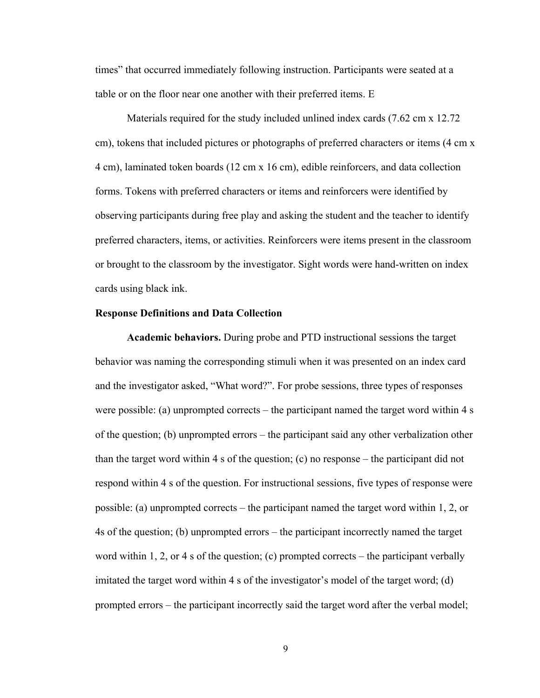times" that occurred immediately following instruction. Participants were seated at a table or on the floor near one another with their preferred items. E

Materials required for the study included unlined index cards (7.62 cm x 12.72 cm), tokens that included pictures or photographs of preferred characters or items (4 cm x 4 cm), laminated token boards (12 cm x 16 cm), edible reinforcers, and data collection forms. Tokens with preferred characters or items and reinforcers were identified by observing participants during free play and asking the student and the teacher to identify preferred characters, items, or activities. Reinforcers were items present in the classroom or brought to the classroom by the investigator. Sight words were hand-written on index cards using black ink.

#### **Response Definitions and Data Collection**

**Academic behaviors.** During probe and PTD instructional sessions the target behavior was naming the corresponding stimuli when it was presented on an index card and the investigator asked, "What word?". For probe sessions, three types of responses were possible: (a) unprompted corrects – the participant named the target word within 4 s of the question; (b) unprompted errors – the participant said any other verbalization other than the target word within 4 s of the question; (c) no response – the participant did not respond within 4 s of the question. For instructional sessions, five types of response were possible: (a) unprompted corrects – the participant named the target word within 1, 2, or 4s of the question; (b) unprompted errors – the participant incorrectly named the target word within 1, 2, or 4 s of the question; (c) prompted corrects – the participant verbally imitated the target word within 4 s of the investigator's model of the target word; (d) prompted errors – the participant incorrectly said the target word after the verbal model;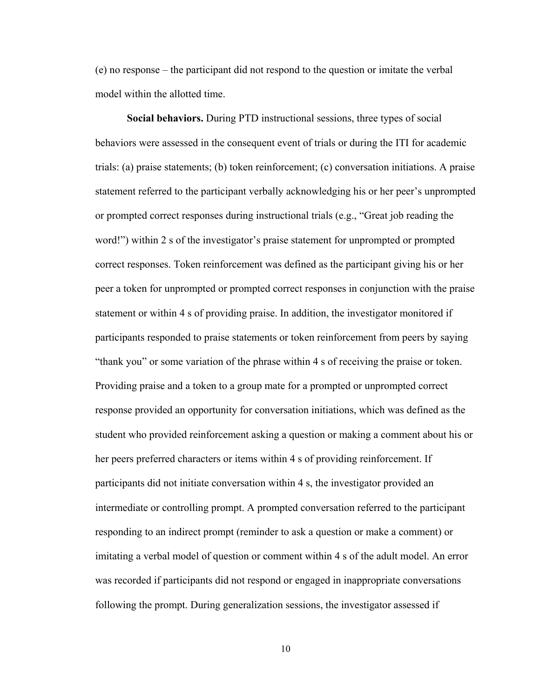(e) no response – the participant did not respond to the question or imitate the verbal model within the allotted time.

**Social behaviors.** During PTD instructional sessions, three types of social behaviors were assessed in the consequent event of trials or during the ITI for academic trials: (a) praise statements; (b) token reinforcement; (c) conversation initiations. A praise statement referred to the participant verbally acknowledging his or her peer's unprompted or prompted correct responses during instructional trials (e.g., "Great job reading the word!") within 2 s of the investigator's praise statement for unprompted or prompted correct responses. Token reinforcement was defined as the participant giving his or her peer a token for unprompted or prompted correct responses in conjunction with the praise statement or within 4 s of providing praise. In addition, the investigator monitored if participants responded to praise statements or token reinforcement from peers by saying "thank you" or some variation of the phrase within 4 s of receiving the praise or token. Providing praise and a token to a group mate for a prompted or unprompted correct response provided an opportunity for conversation initiations, which was defined as the student who provided reinforcement asking a question or making a comment about his or her peers preferred characters or items within 4 s of providing reinforcement. If participants did not initiate conversation within 4 s, the investigator provided an intermediate or controlling prompt. A prompted conversation referred to the participant responding to an indirect prompt (reminder to ask a question or make a comment) or imitating a verbal model of question or comment within 4 s of the adult model. An error was recorded if participants did not respond or engaged in inappropriate conversations following the prompt. During generalization sessions, the investigator assessed if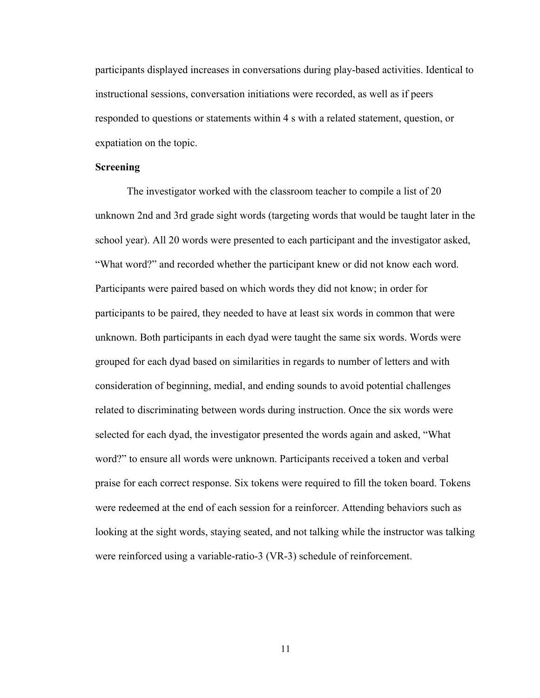participants displayed increases in conversations during play-based activities. Identical to instructional sessions, conversation initiations were recorded, as well as if peers responded to questions or statements within 4 s with a related statement, question, or expatiation on the topic.

#### **Screening**

The investigator worked with the classroom teacher to compile a list of 20 unknown 2nd and 3rd grade sight words (targeting words that would be taught later in the school year). All 20 words were presented to each participant and the investigator asked, "What word?" and recorded whether the participant knew or did not know each word. Participants were paired based on which words they did not know; in order for participants to be paired, they needed to have at least six words in common that were unknown. Both participants in each dyad were taught the same six words. Words were grouped for each dyad based on similarities in regards to number of letters and with consideration of beginning, medial, and ending sounds to avoid potential challenges related to discriminating between words during instruction. Once the six words were selected for each dyad, the investigator presented the words again and asked, "What word?" to ensure all words were unknown. Participants received a token and verbal praise for each correct response. Six tokens were required to fill the token board. Tokens were redeemed at the end of each session for a reinforcer. Attending behaviors such as looking at the sight words, staying seated, and not talking while the instructor was talking were reinforced using a variable-ratio-3 (VR-3) schedule of reinforcement.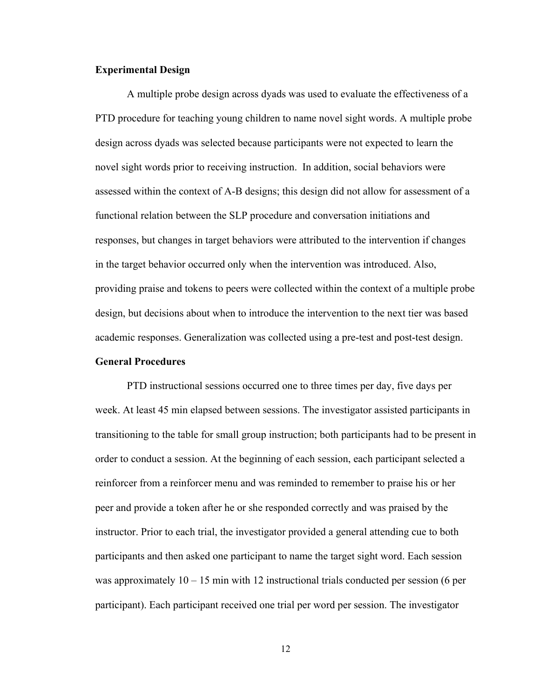#### **Experimental Design**

A multiple probe design across dyads was used to evaluate the effectiveness of a PTD procedure for teaching young children to name novel sight words. A multiple probe design across dyads was selected because participants were not expected to learn the novel sight words prior to receiving instruction. In addition, social behaviors were assessed within the context of A-B designs; this design did not allow for assessment of a functional relation between the SLP procedure and conversation initiations and responses, but changes in target behaviors were attributed to the intervention if changes in the target behavior occurred only when the intervention was introduced. Also, providing praise and tokens to peers were collected within the context of a multiple probe design, but decisions about when to introduce the intervention to the next tier was based academic responses. Generalization was collected using a pre-test and post-test design.

#### **General Procedures**

PTD instructional sessions occurred one to three times per day, five days per week. At least 45 min elapsed between sessions. The investigator assisted participants in transitioning to the table for small group instruction; both participants had to be present in order to conduct a session. At the beginning of each session, each participant selected a reinforcer from a reinforcer menu and was reminded to remember to praise his or her peer and provide a token after he or she responded correctly and was praised by the instructor. Prior to each trial, the investigator provided a general attending cue to both participants and then asked one participant to name the target sight word. Each session was approximately  $10 - 15$  min with 12 instructional trials conducted per session (6 per participant). Each participant received one trial per word per session. The investigator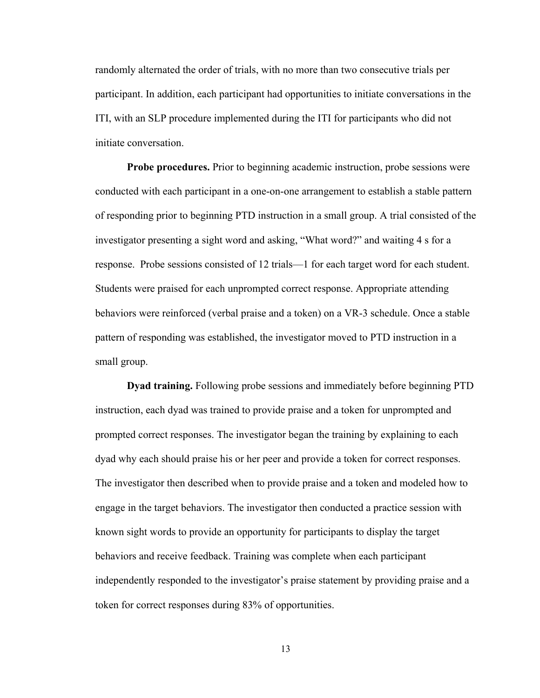randomly alternated the order of trials, with no more than two consecutive trials per participant. In addition, each participant had opportunities to initiate conversations in the ITI, with an SLP procedure implemented during the ITI for participants who did not initiate conversation.

**Probe procedures.** Prior to beginning academic instruction, probe sessions were conducted with each participant in a one-on-one arrangement to establish a stable pattern of responding prior to beginning PTD instruction in a small group. A trial consisted of the investigator presenting a sight word and asking, "What word?" and waiting 4 s for a response. Probe sessions consisted of 12 trials—1 for each target word for each student. Students were praised for each unprompted correct response. Appropriate attending behaviors were reinforced (verbal praise and a token) on a VR-3 schedule. Once a stable pattern of responding was established, the investigator moved to PTD instruction in a small group.

**Dyad training.** Following probe sessions and immediately before beginning PTD instruction, each dyad was trained to provide praise and a token for unprompted and prompted correct responses. The investigator began the training by explaining to each dyad why each should praise his or her peer and provide a token for correct responses. The investigator then described when to provide praise and a token and modeled how to engage in the target behaviors. The investigator then conducted a practice session with known sight words to provide an opportunity for participants to display the target behaviors and receive feedback. Training was complete when each participant independently responded to the investigator's praise statement by providing praise and a token for correct responses during 83% of opportunities.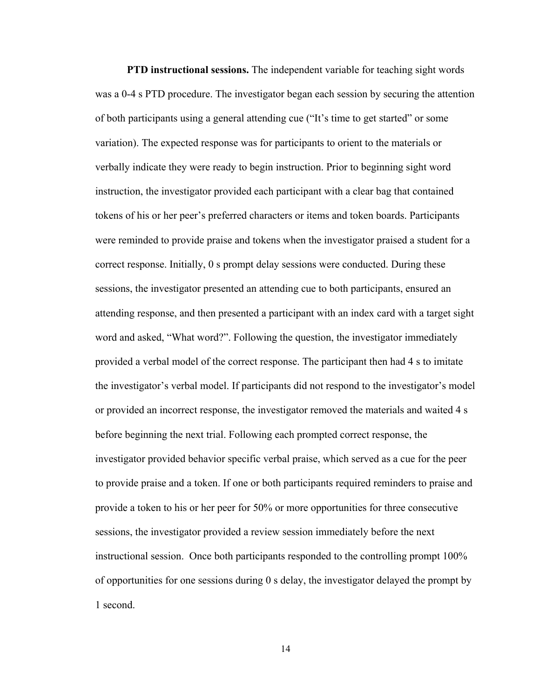**PTD instructional sessions.** The independent variable for teaching sight words was a 0-4 s PTD procedure. The investigator began each session by securing the attention of both participants using a general attending cue ("It's time to get started" or some variation). The expected response was for participants to orient to the materials or verbally indicate they were ready to begin instruction. Prior to beginning sight word instruction, the investigator provided each participant with a clear bag that contained tokens of his or her peer's preferred characters or items and token boards. Participants were reminded to provide praise and tokens when the investigator praised a student for a correct response. Initially, 0 s prompt delay sessions were conducted. During these sessions, the investigator presented an attending cue to both participants, ensured an attending response, and then presented a participant with an index card with a target sight word and asked, "What word?". Following the question, the investigator immediately provided a verbal model of the correct response. The participant then had 4 s to imitate the investigator's verbal model. If participants did not respond to the investigator's model or provided an incorrect response, the investigator removed the materials and waited 4 s before beginning the next trial. Following each prompted correct response, the investigator provided behavior specific verbal praise, which served as a cue for the peer to provide praise and a token. If one or both participants required reminders to praise and provide a token to his or her peer for 50% or more opportunities for three consecutive sessions, the investigator provided a review session immediately before the next instructional session. Once both participants responded to the controlling prompt 100% of opportunities for one sessions during 0 s delay, the investigator delayed the prompt by 1 second.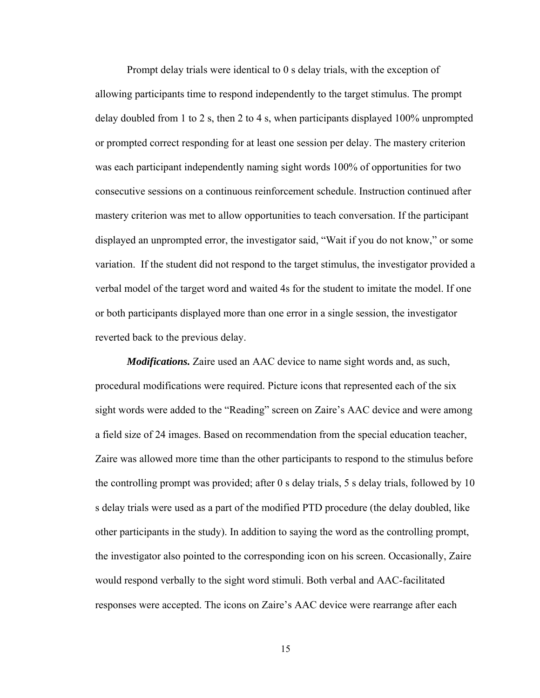Prompt delay trials were identical to 0 s delay trials, with the exception of allowing participants time to respond independently to the target stimulus. The prompt delay doubled from 1 to 2 s, then 2 to 4 s, when participants displayed 100% unprompted or prompted correct responding for at least one session per delay. The mastery criterion was each participant independently naming sight words 100% of opportunities for two consecutive sessions on a continuous reinforcement schedule. Instruction continued after mastery criterion was met to allow opportunities to teach conversation. If the participant displayed an unprompted error, the investigator said, "Wait if you do not know," or some variation. If the student did not respond to the target stimulus, the investigator provided a verbal model of the target word and waited 4s for the student to imitate the model. If one or both participants displayed more than one error in a single session, the investigator reverted back to the previous delay.

*Modifications.* Zaire used an AAC device to name sight words and, as such, procedural modifications were required. Picture icons that represented each of the six sight words were added to the "Reading" screen on Zaire's AAC device and were among a field size of 24 images. Based on recommendation from the special education teacher, Zaire was allowed more time than the other participants to respond to the stimulus before the controlling prompt was provided; after 0 s delay trials, 5 s delay trials, followed by 10 s delay trials were used as a part of the modified PTD procedure (the delay doubled, like other participants in the study). In addition to saying the word as the controlling prompt, the investigator also pointed to the corresponding icon on his screen. Occasionally, Zaire would respond verbally to the sight word stimuli. Both verbal and AAC-facilitated responses were accepted. The icons on Zaire's AAC device were rearrange after each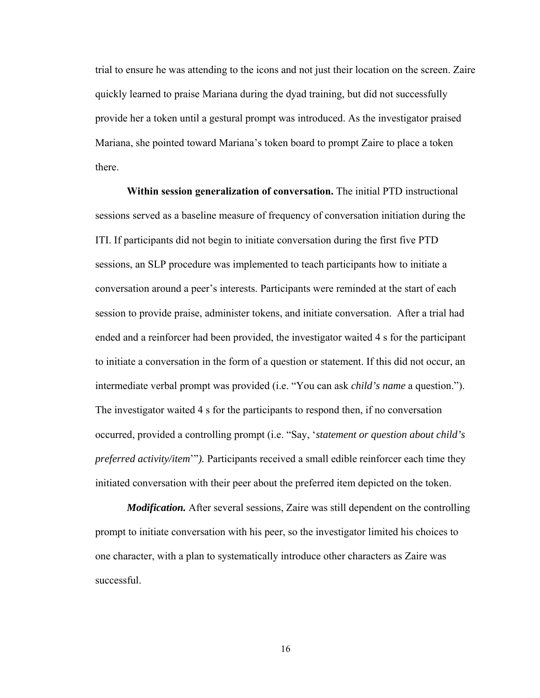trial to ensure he was attending to the icons and not just their location on the screen. Zaire quickly learned to praise Mariana during the dyad training, but did not successfully provide her a token until a gestural prompt was introduced. As the investigator praised Mariana, she pointed toward Mariana's token board to prompt Zaire to place a token there.

**Within session generalization of conversation.** The initial PTD instructional sessions served as a baseline measure of frequency of conversation initiation during the ITI. If participants did not begin to initiate conversation during the first five PTD sessions, an SLP procedure was implemented to teach participants how to initiate a conversation around a peer's interests. Participants were reminded at the start of each session to provide praise, administer tokens, and initiate conversation. After a trial had ended and a reinforcer had been provided, the investigator waited 4 s for the participant to initiate a conversation in the form of a question or statement. If this did not occur, an intermediate verbal prompt was provided (i.e. "You can ask *child's name* a question."). The investigator waited 4 s for the participants to respond then, if no conversation occurred, provided a controlling prompt (i.e. "Say, '*statement or question about child's preferred activity/item*'"*).* Participants received a small edible reinforcer each time they initiated conversation with their peer about the preferred item depicted on the token.

*Modification.* After several sessions, Zaire was still dependent on the controlling prompt to initiate conversation with his peer, so the investigator limited his choices to one character, with a plan to systematically introduce other characters as Zaire was successful.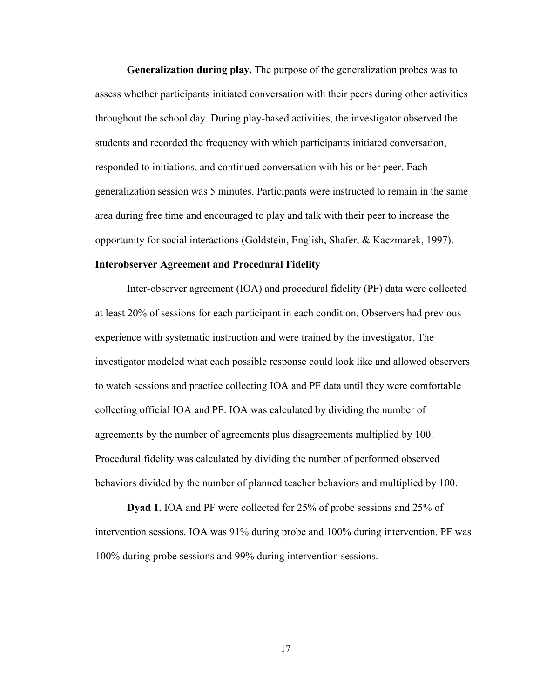**Generalization during play.** The purpose of the generalization probes was to assess whether participants initiated conversation with their peers during other activities throughout the school day. During play-based activities, the investigator observed the students and recorded the frequency with which participants initiated conversation, responded to initiations, and continued conversation with his or her peer. Each generalization session was 5 minutes. Participants were instructed to remain in the same area during free time and encouraged to play and talk with their peer to increase the opportunity for social interactions (Goldstein, English, Shafer, & Kaczmarek, 1997).

#### **Interobserver Agreement and Procedural Fidelity**

Inter-observer agreement (IOA) and procedural fidelity (PF) data were collected at least 20% of sessions for each participant in each condition. Observers had previous experience with systematic instruction and were trained by the investigator. The investigator modeled what each possible response could look like and allowed observers to watch sessions and practice collecting IOA and PF data until they were comfortable collecting official IOA and PF. IOA was calculated by dividing the number of agreements by the number of agreements plus disagreements multiplied by 100. Procedural fidelity was calculated by dividing the number of performed observed behaviors divided by the number of planned teacher behaviors and multiplied by 100.

**Dyad 1.** IOA and PF were collected for 25% of probe sessions and 25% of intervention sessions. IOA was 91% during probe and 100% during intervention. PF was 100% during probe sessions and 99% during intervention sessions.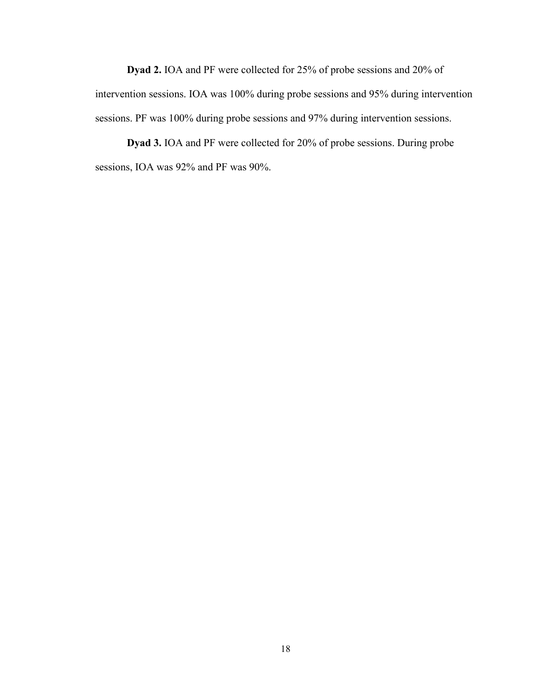**Dyad 2.** IOA and PF were collected for 25% of probe sessions and 20% of intervention sessions. IOA was 100% during probe sessions and 95% during intervention sessions. PF was 100% during probe sessions and 97% during intervention sessions.

**Dyad 3.** IOA and PF were collected for 20% of probe sessions. During probe sessions, IOA was 92% and PF was 90%.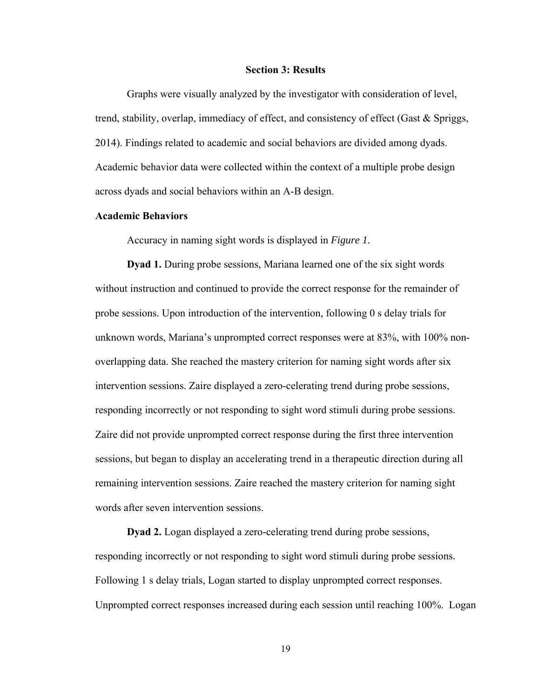#### **Section 3: Results**

Graphs were visually analyzed by the investigator with consideration of level, trend, stability, overlap, immediacy of effect, and consistency of effect (Gast & Spriggs, 2014). Findings related to academic and social behaviors are divided among dyads. Academic behavior data were collected within the context of a multiple probe design across dyads and social behaviors within an A-B design.

#### **Academic Behaviors**

Accuracy in naming sight words is displayed in *Figure 1.*

**Dyad 1.** During probe sessions, Mariana learned one of the six sight words without instruction and continued to provide the correct response for the remainder of probe sessions. Upon introduction of the intervention, following 0 s delay trials for unknown words, Mariana's unprompted correct responses were at 83%, with 100% nonoverlapping data. She reached the mastery criterion for naming sight words after six intervention sessions. Zaire displayed a zero-celerating trend during probe sessions, responding incorrectly or not responding to sight word stimuli during probe sessions. Zaire did not provide unprompted correct response during the first three intervention sessions, but began to display an accelerating trend in a therapeutic direction during all remaining intervention sessions. Zaire reached the mastery criterion for naming sight words after seven intervention sessions.

**Dyad 2.** Logan displayed a zero-celerating trend during probe sessions, responding incorrectly or not responding to sight word stimuli during probe sessions. Following 1 s delay trials, Logan started to display unprompted correct responses. Unprompted correct responses increased during each session until reaching 100%. Logan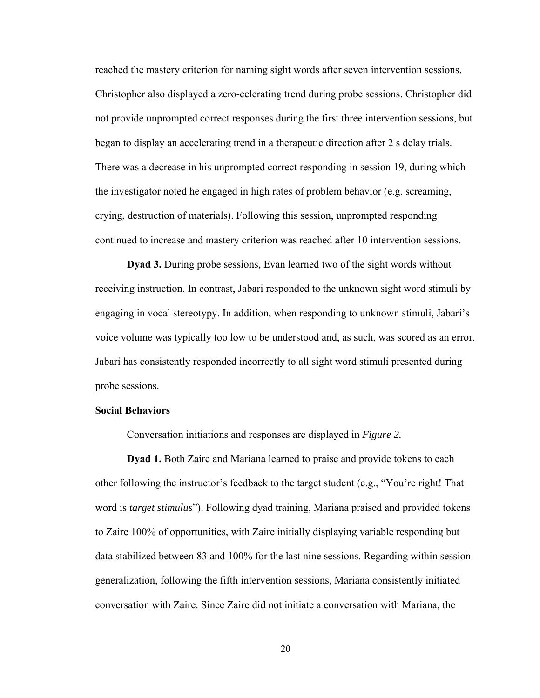reached the mastery criterion for naming sight words after seven intervention sessions. Christopher also displayed a zero-celerating trend during probe sessions. Christopher did not provide unprompted correct responses during the first three intervention sessions, but began to display an accelerating trend in a therapeutic direction after 2 s delay trials. There was a decrease in his unprompted correct responding in session 19, during which the investigator noted he engaged in high rates of problem behavior (e.g. screaming, crying, destruction of materials). Following this session, unprompted responding continued to increase and mastery criterion was reached after 10 intervention sessions.

**Dyad 3.** During probe sessions, Evan learned two of the sight words without receiving instruction. In contrast, Jabari responded to the unknown sight word stimuli by engaging in vocal stereotypy. In addition, when responding to unknown stimuli, Jabari's voice volume was typically too low to be understood and, as such, was scored as an error. Jabari has consistently responded incorrectly to all sight word stimuli presented during probe sessions.

#### **Social Behaviors**

Conversation initiations and responses are displayed in *Figure 2.*

**Dyad 1.** Both Zaire and Mariana learned to praise and provide tokens to each other following the instructor's feedback to the target student (e.g., "You're right! That word is *target stimulus*"). Following dyad training, Mariana praised and provided tokens to Zaire 100% of opportunities, with Zaire initially displaying variable responding but data stabilized between 83 and 100% for the last nine sessions. Regarding within session generalization, following the fifth intervention sessions, Mariana consistently initiated conversation with Zaire. Since Zaire did not initiate a conversation with Mariana, the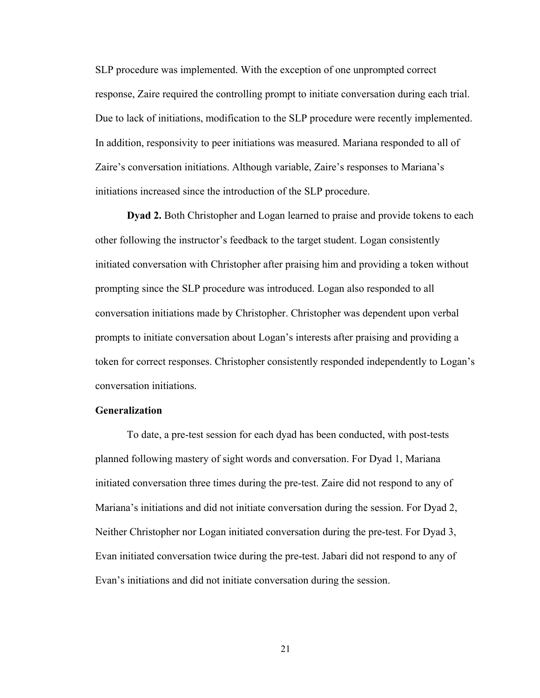SLP procedure was implemented. With the exception of one unprompted correct response, Zaire required the controlling prompt to initiate conversation during each trial. Due to lack of initiations, modification to the SLP procedure were recently implemented. In addition, responsivity to peer initiations was measured. Mariana responded to all of Zaire's conversation initiations. Although variable, Zaire's responses to Mariana's initiations increased since the introduction of the SLP procedure.

**Dyad 2.** Both Christopher and Logan learned to praise and provide tokens to each other following the instructor's feedback to the target student. Logan consistently initiated conversation with Christopher after praising him and providing a token without prompting since the SLP procedure was introduced. Logan also responded to all conversation initiations made by Christopher. Christopher was dependent upon verbal prompts to initiate conversation about Logan's interests after praising and providing a token for correct responses. Christopher consistently responded independently to Logan's conversation initiations.

#### **Generalization**

To date, a pre-test session for each dyad has been conducted, with post-tests planned following mastery of sight words and conversation. For Dyad 1, Mariana initiated conversation three times during the pre-test. Zaire did not respond to any of Mariana's initiations and did not initiate conversation during the session. For Dyad 2, Neither Christopher nor Logan initiated conversation during the pre-test. For Dyad 3, Evan initiated conversation twice during the pre-test. Jabari did not respond to any of Evan's initiations and did not initiate conversation during the session.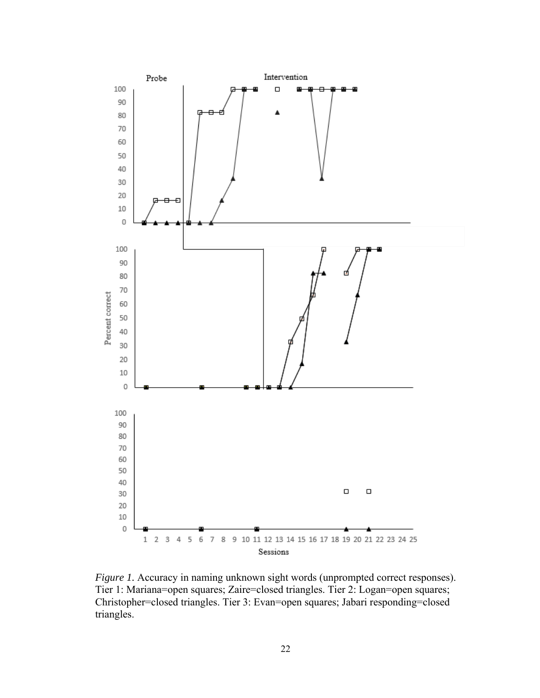

*Figure 1.* Accuracy in naming unknown sight words (unprompted correct responses). Tier 1: Mariana=open squares; Zaire=closed triangles. Tier 2: Logan=open squares; Christopher=closed triangles. Tier 3: Evan=open squares; Jabari responding=closed triangles.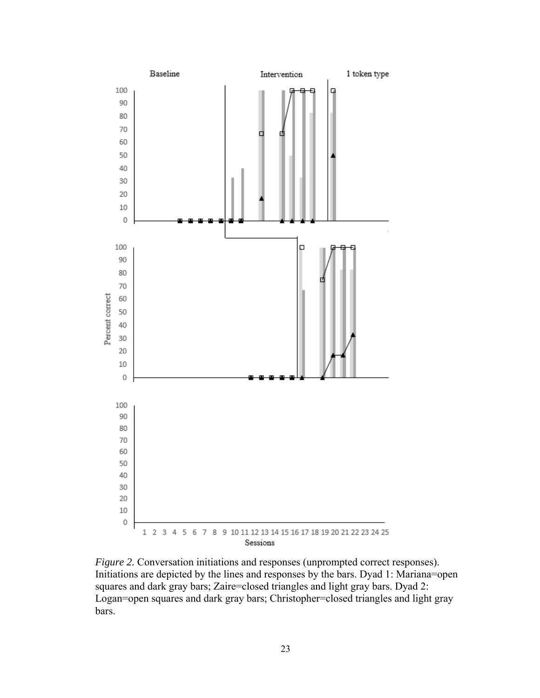

*Figure 2.* Conversation initiations and responses (unprompted correct responses). Initiations are depicted by the lines and responses by the bars. Dyad 1: Mariana=open squares and dark gray bars; Zaire=closed triangles and light gray bars. Dyad 2: Logan=open squares and dark gray bars; Christopher=closed triangles and light gray bars.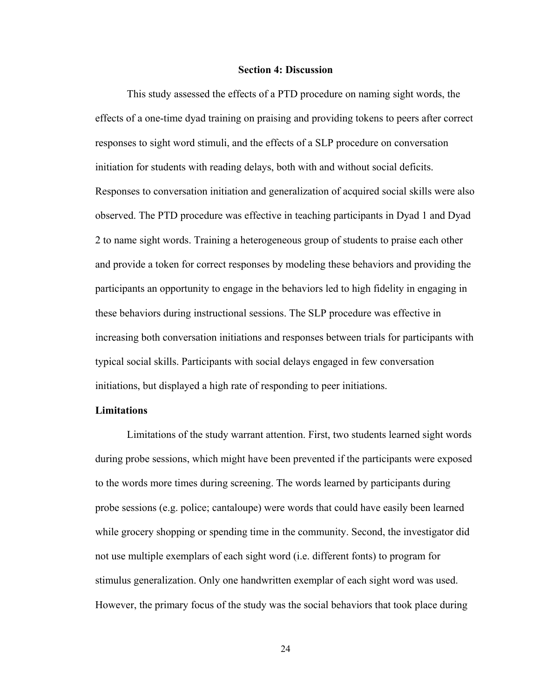#### **Section 4: Discussion**

This study assessed the effects of a PTD procedure on naming sight words, the effects of a one-time dyad training on praising and providing tokens to peers after correct responses to sight word stimuli, and the effects of a SLP procedure on conversation initiation for students with reading delays, both with and without social deficits. Responses to conversation initiation and generalization of acquired social skills were also observed. The PTD procedure was effective in teaching participants in Dyad 1 and Dyad 2 to name sight words. Training a heterogeneous group of students to praise each other and provide a token for correct responses by modeling these behaviors and providing the participants an opportunity to engage in the behaviors led to high fidelity in engaging in these behaviors during instructional sessions. The SLP procedure was effective in increasing both conversation initiations and responses between trials for participants with typical social skills. Participants with social delays engaged in few conversation initiations, but displayed a high rate of responding to peer initiations.

#### **Limitations**

Limitations of the study warrant attention. First, two students learned sight words during probe sessions, which might have been prevented if the participants were exposed to the words more times during screening. The words learned by participants during probe sessions (e.g. police; cantaloupe) were words that could have easily been learned while grocery shopping or spending time in the community. Second, the investigator did not use multiple exemplars of each sight word (i.e. different fonts) to program for stimulus generalization. Only one handwritten exemplar of each sight word was used. However, the primary focus of the study was the social behaviors that took place during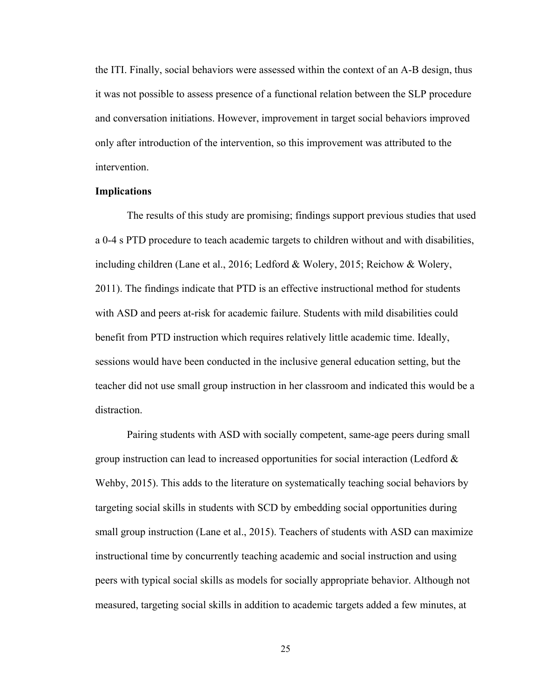the ITI. Finally, social behaviors were assessed within the context of an A-B design, thus it was not possible to assess presence of a functional relation between the SLP procedure and conversation initiations. However, improvement in target social behaviors improved only after introduction of the intervention, so this improvement was attributed to the intervention.

#### **Implications**

The results of this study are promising; findings support previous studies that used a 0-4 s PTD procedure to teach academic targets to children without and with disabilities, including children (Lane et al., 2016; Ledford & Wolery, 2015; Reichow & Wolery, 2011). The findings indicate that PTD is an effective instructional method for students with ASD and peers at-risk for academic failure. Students with mild disabilities could benefit from PTD instruction which requires relatively little academic time. Ideally, sessions would have been conducted in the inclusive general education setting, but the teacher did not use small group instruction in her classroom and indicated this would be a distraction.

Pairing students with ASD with socially competent, same-age peers during small group instruction can lead to increased opportunities for social interaction (Ledford  $\&$ Wehby, 2015). This adds to the literature on systematically teaching social behaviors by targeting social skills in students with SCD by embedding social opportunities during small group instruction (Lane et al., 2015). Teachers of students with ASD can maximize instructional time by concurrently teaching academic and social instruction and using peers with typical social skills as models for socially appropriate behavior. Although not measured, targeting social skills in addition to academic targets added a few minutes, at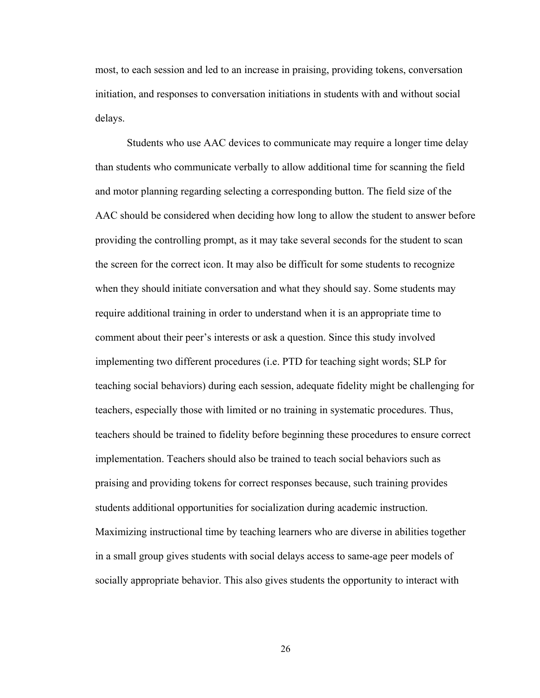most, to each session and led to an increase in praising, providing tokens, conversation initiation, and responses to conversation initiations in students with and without social delays.

Students who use AAC devices to communicate may require a longer time delay than students who communicate verbally to allow additional time for scanning the field and motor planning regarding selecting a corresponding button. The field size of the AAC should be considered when deciding how long to allow the student to answer before providing the controlling prompt, as it may take several seconds for the student to scan the screen for the correct icon. It may also be difficult for some students to recognize when they should initiate conversation and what they should say. Some students may require additional training in order to understand when it is an appropriate time to comment about their peer's interests or ask a question. Since this study involved implementing two different procedures (i.e. PTD for teaching sight words; SLP for teaching social behaviors) during each session, adequate fidelity might be challenging for teachers, especially those with limited or no training in systematic procedures. Thus, teachers should be trained to fidelity before beginning these procedures to ensure correct implementation. Teachers should also be trained to teach social behaviors such as praising and providing tokens for correct responses because, such training provides students additional opportunities for socialization during academic instruction. Maximizing instructional time by teaching learners who are diverse in abilities together in a small group gives students with social delays access to same-age peer models of socially appropriate behavior. This also gives students the opportunity to interact with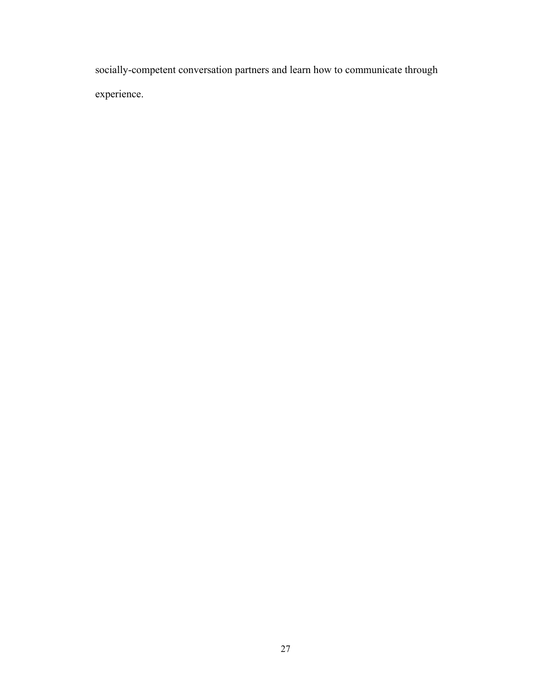socially-competent conversation partners and learn how to communicate through experience.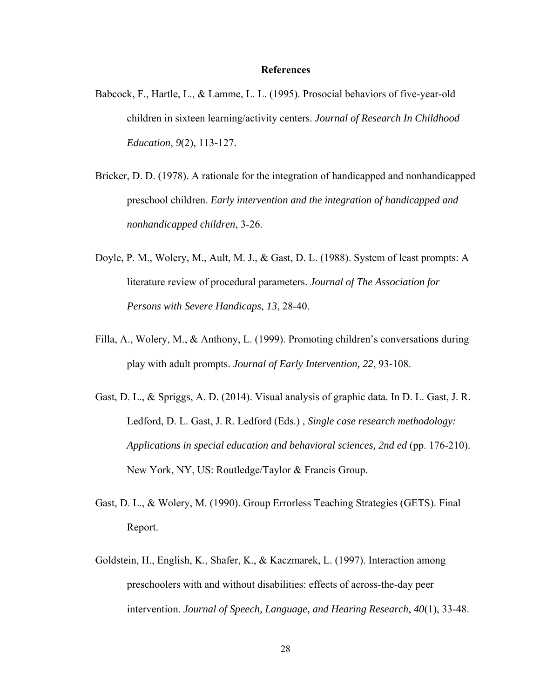#### **References**

- Babcock, F., Hartle, L., & Lamme, L. L. (1995). Prosocial behaviors of five-year-old children in sixteen learning/activity centers. *Journal of Research In Childhood Education*, *9*(2), 113-127.
- Bricker, D. D. (1978). A rationale for the integration of handicapped and nonhandicapped preschool children. *Early intervention and the integration of handicapped and nonhandicapped children*, 3-26.
- Doyle, P. M., Wolery, M., Ault, M. J., & Gast, D. L. (1988). System of least prompts: A literature review of procedural parameters. *Journal of The Association for Persons with Severe Handicaps*, *13*, 28-40.
- Filla, A., Wolery, M., & Anthony, L. (1999). Promoting children's conversations during play with adult prompts. *Journal of Early Intervention, 22*, 93-108.
- Gast, D. L., & Spriggs, A. D. (2014). Visual analysis of graphic data. In D. L. Gast, J. R. Ledford, D. L. Gast, J. R. Ledford (Eds.) , *Single case research methodology: Applications in special education and behavioral sciences, 2nd ed* (pp. 176-210). New York, NY, US: Routledge/Taylor & Francis Group.
- Gast, D. L., & Wolery, M. (1990). Group Errorless Teaching Strategies (GETS). Final Report.
- Goldstein, H., English, K., Shafer, K., & Kaczmarek, L. (1997). Interaction among preschoolers with and without disabilities: effects of across-the-day peer intervention. *Journal of Speech, Language, and Hearing Research*, *40*(1), 33-48.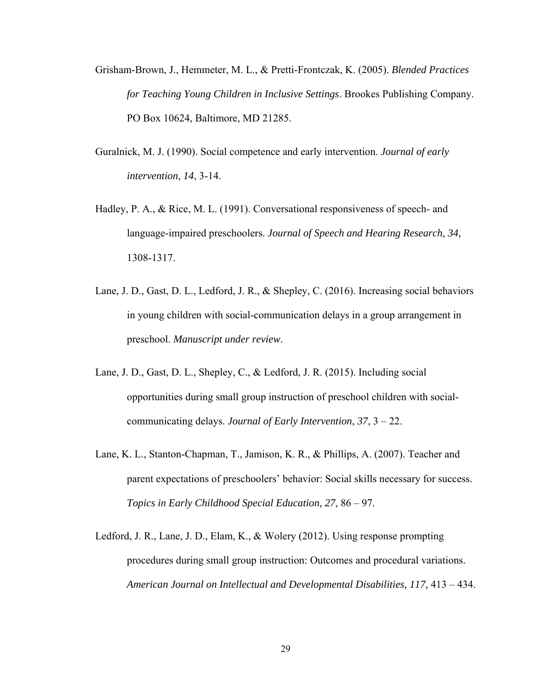- Grisham-Brown, J., Hemmeter, M. L., & Pretti-Frontczak, K. (2005). *Blended Practices for Teaching Young Children in Inclusive Settings*. Brookes Publishing Company. PO Box 10624, Baltimore, MD 21285.
- Guralnick, M. J. (1990). Social competence and early intervention. *Journal of early intervention*, *14*, 3-14.
- Hadley, P. A., & Rice, M. L. (1991). Conversational responsiveness of speech- and language-impaired preschoolers. *Journal of Speech and Hearing Research, 34,*  1308-1317.
- Lane, J. D., Gast, D. L., Ledford, J. R., & Shepley, C. (2016). Increasing social behaviors in young children with social-communication delays in a group arrangement in preschool. *Manuscript under review*.
- Lane, J. D., Gast, D. L., Shepley, C., & Ledford, J. R. (2015). Including social opportunities during small group instruction of preschool children with socialcommunicating delays. *Journal of Early Intervention*, *37*, 3 – 22.
- Lane, K. L., Stanton-Chapman, T., Jamison, K. R., & Phillips, A. (2007). Teacher and parent expectations of preschoolers' behavior: Social skills necessary for success. *Topics in Early Childhood Special Education, 27*, 86 – 97.
- Ledford, J. R., Lane, J. D., Elam, K., & Wolery (2012). Using response prompting procedures during small group instruction: Outcomes and procedural variations. *American Journal on Intellectual and Developmental Disabilities, 117,* 413 – 434.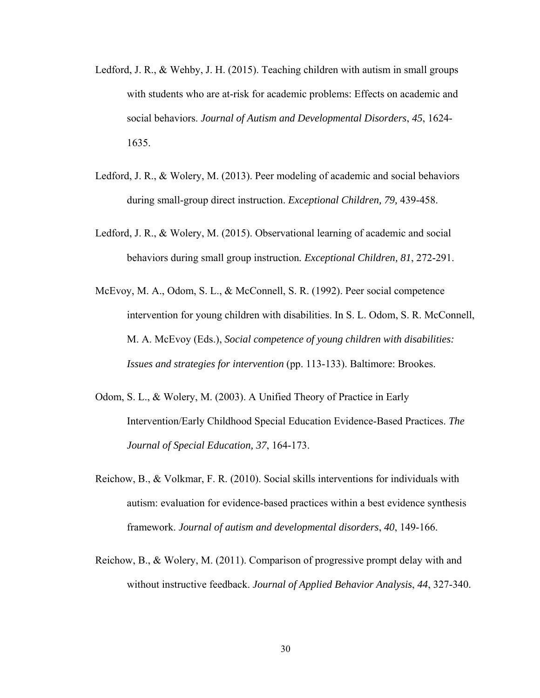- Ledford, J. R., & Wehby, J. H. (2015). Teaching children with autism in small groups with students who are at-risk for academic problems: Effects on academic and social behaviors. *Journal of Autism and Developmental Disorders*, *45*, 1624- 1635.
- Ledford, J. R., & Wolery, M. (2013). Peer modeling of academic and social behaviors during small-group direct instruction. *Exceptional Children, 79,* 439-458.
- Ledford, J. R., & Wolery, M. (2015). Observational learning of academic and social behaviors during small group instruction*. Exceptional Children, 81*, 272-291.
- McEvoy, M. A., Odom, S. L., & McConnell, S. R. (1992). Peer social competence intervention for young children with disabilities. In S. L. Odom, S. R. McConnell, M. A. McEvoy (Eds.), *Social competence of young children with disabilities: Issues and strategies for intervention* (pp. 113-133). Baltimore: Brookes.
- Odom, S. L., & Wolery, M. (2003). A Unified Theory of Practice in Early Intervention/Early Childhood Special Education Evidence-Based Practices. *The Journal of Special Education, 37*, 164-173.
- Reichow, B., & Volkmar, F. R. (2010). Social skills interventions for individuals with autism: evaluation for evidence-based practices within a best evidence synthesis framework. *Journal of autism and developmental disorders*, *40*, 149-166.
- Reichow, B., & Wolery, M. (2011). Comparison of progressive prompt delay with and without instructive feedback. *Journal of Applied Behavior Analysis*, *44*, 327-340.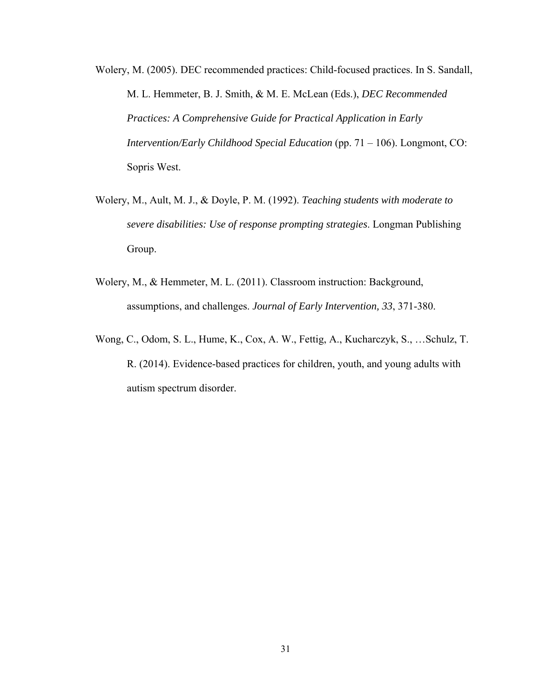- Wolery, M. (2005). DEC recommended practices: Child-focused practices. In S. Sandall, M. L. Hemmeter, B. J. Smith, & M. E. McLean (Eds.), *DEC Recommended Practices: A Comprehensive Guide for Practical Application in Early Intervention/Early Childhood Special Education (pp. 71 – 106). Longmont, CO:* Sopris West.
- Wolery, M., Ault, M. J., & Doyle, P. M. (1992). *Teaching students with moderate to severe disabilities: Use of response prompting strategies*. Longman Publishing Group.
- Wolery, M., & Hemmeter, M. L. (2011). Classroom instruction: Background, assumptions, and challenges. *Journal of Early Intervention, 33*, 371-380.
- Wong, C., Odom, S. L., Hume, K., Cox, A. W., Fettig, A., Kucharczyk, S., …Schulz, T. R. (2014). Evidence-based practices for children, youth, and young adults with autism spectrum disorder.